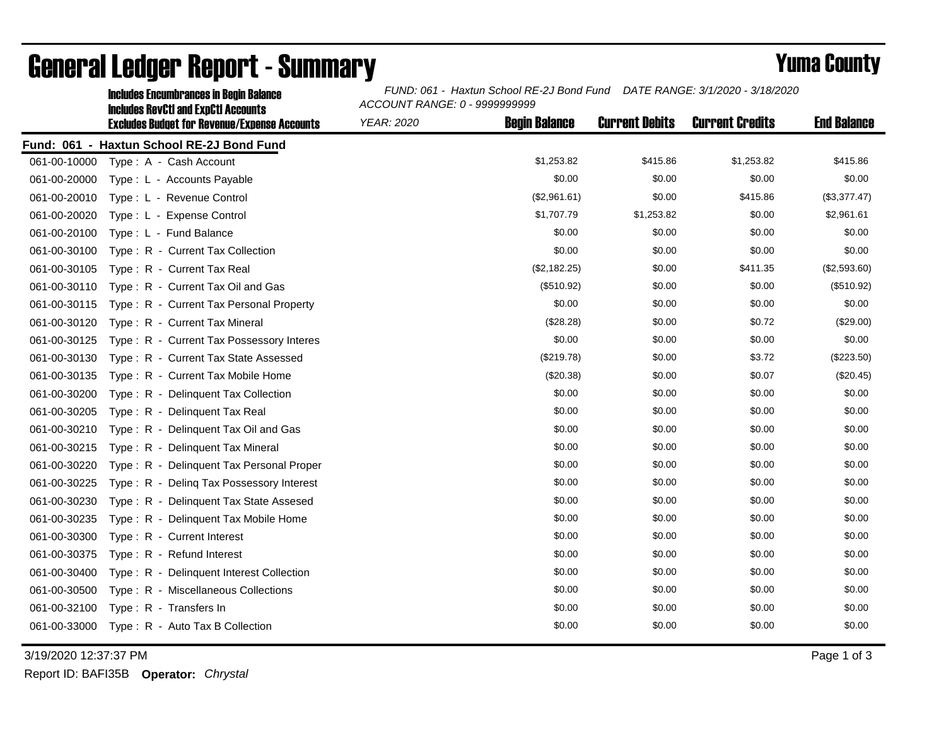|              | <b>Includes Encumbrances in Begin Balance</b>                                                     | FUND: 061 - Haxtun School RE-2J Bond Fund DATE RANGE: 3/1/2020 - 3/18/2020<br>ACCOUNT RANGE: 0 - 9999999999 |                      |                       |                        |                    |  |
|--------------|---------------------------------------------------------------------------------------------------|-------------------------------------------------------------------------------------------------------------|----------------------|-----------------------|------------------------|--------------------|--|
|              | <b>Includes RevCtI and ExpCtI Accounts</b><br><b>Excludes Budget for Revenue/Expense Accounts</b> | <b>YEAR: 2020</b>                                                                                           | <b>Begin Balance</b> | <b>Current Debits</b> | <b>Current Credits</b> | <b>End Balance</b> |  |
|              | Fund: 061 - Haxtun School RE-2J Bond Fund                                                         |                                                                                                             |                      |                       |                        |                    |  |
| 061-00-10000 | Type: A - Cash Account                                                                            |                                                                                                             | \$1,253.82           | \$415.86              | \$1,253.82             | \$415.86           |  |
| 061-00-20000 | Type: L - Accounts Payable                                                                        |                                                                                                             | \$0.00               | \$0.00                | \$0.00                 | \$0.00             |  |
| 061-00-20010 | Type: L - Revenue Control                                                                         |                                                                                                             | (\$2,961.61)         | \$0.00                | \$415.86               | (\$3,377.47)       |  |
| 061-00-20020 | Type: L - Expense Control                                                                         |                                                                                                             | \$1,707.79           | \$1,253.82            | \$0.00                 | \$2,961.61         |  |
| 061-00-20100 | Type: L - Fund Balance                                                                            |                                                                                                             | \$0.00               | \$0.00                | \$0.00                 | \$0.00             |  |
| 061-00-30100 | Type: R - Current Tax Collection                                                                  |                                                                                                             | \$0.00               | \$0.00                | \$0.00                 | \$0.00             |  |
| 061-00-30105 | Type: R - Current Tax Real                                                                        |                                                                                                             | (\$2,182.25)         | \$0.00                | \$411.35               | (\$2,593.60)       |  |
| 061-00-30110 | Type: R - Current Tax Oil and Gas                                                                 |                                                                                                             | (\$510.92)           | \$0.00                | \$0.00                 | (\$510.92)         |  |
| 061-00-30115 | Type: R - Current Tax Personal Property                                                           |                                                                                                             | \$0.00               | \$0.00                | \$0.00                 | \$0.00             |  |
| 061-00-30120 | Type: R - Current Tax Mineral                                                                     |                                                                                                             | (\$28.28)            | \$0.00                | \$0.72                 | (\$29.00)          |  |
| 061-00-30125 | Type: R - Current Tax Possessory Interes                                                          |                                                                                                             | \$0.00               | \$0.00                | \$0.00                 | \$0.00             |  |
| 061-00-30130 | Type: R - Current Tax State Assessed                                                              |                                                                                                             | (\$219.78)           | \$0.00                | \$3.72                 | (\$223.50)         |  |
| 061-00-30135 | Type: R - Current Tax Mobile Home                                                                 |                                                                                                             | (\$20.38)            | \$0.00                | \$0.07                 | (\$20.45)          |  |
| 061-00-30200 | Type: R - Delinquent Tax Collection                                                               |                                                                                                             | \$0.00               | \$0.00                | \$0.00                 | \$0.00             |  |
| 061-00-30205 | Type: R - Delinquent Tax Real                                                                     |                                                                                                             | \$0.00               | \$0.00                | \$0.00                 | \$0.00             |  |
| 061-00-30210 | Type: R - Delinguent Tax Oil and Gas                                                              |                                                                                                             | \$0.00               | \$0.00                | \$0.00                 | \$0.00             |  |
| 061-00-30215 | Type: R - Delinquent Tax Mineral                                                                  |                                                                                                             | \$0.00               | \$0.00                | \$0.00                 | \$0.00             |  |
| 061-00-30220 | Type: R - Delinquent Tax Personal Proper                                                          |                                                                                                             | \$0.00               | \$0.00                | \$0.00                 | \$0.00             |  |
| 061-00-30225 | Type: R - Deling Tax Possessory Interest                                                          |                                                                                                             | \$0.00               | \$0.00                | \$0.00                 | \$0.00             |  |
| 061-00-30230 | Type: R - Delinquent Tax State Assesed                                                            |                                                                                                             | \$0.00               | \$0.00                | \$0.00                 | \$0.00             |  |
| 061-00-30235 | Type: R - Delinguent Tax Mobile Home                                                              |                                                                                                             | \$0.00               | \$0.00                | \$0.00                 | \$0.00             |  |
| 061-00-30300 | Type: R - Current Interest                                                                        |                                                                                                             | \$0.00               | \$0.00                | \$0.00                 | \$0.00             |  |
| 061-00-30375 | Type: R - Refund Interest                                                                         |                                                                                                             | \$0.00               | \$0.00                | \$0.00                 | \$0.00             |  |
| 061-00-30400 | Type: R - Delinquent Interest Collection                                                          |                                                                                                             | \$0.00               | \$0.00                | \$0.00                 | \$0.00             |  |
| 061-00-30500 | Type: R - Miscellaneous Collections                                                               |                                                                                                             | \$0.00               | \$0.00                | \$0.00                 | \$0.00             |  |
| 061-00-32100 | Type: R - Transfers In                                                                            |                                                                                                             | \$0.00               | \$0.00                | \$0.00                 | \$0.00             |  |
| 061-00-33000 | Type: R - Auto Tax B Collection                                                                   |                                                                                                             | \$0.00               | \$0.00                | \$0.00                 | \$0.00             |  |
|              |                                                                                                   |                                                                                                             |                      |                       |                        |                    |  |

## General Ledger Report - Summary **Example 2018** Yuma County

3/19/2020 12:37:37 PM Page 1 of 3

Report ID: BAFI35B **Operator:** *Chrystal*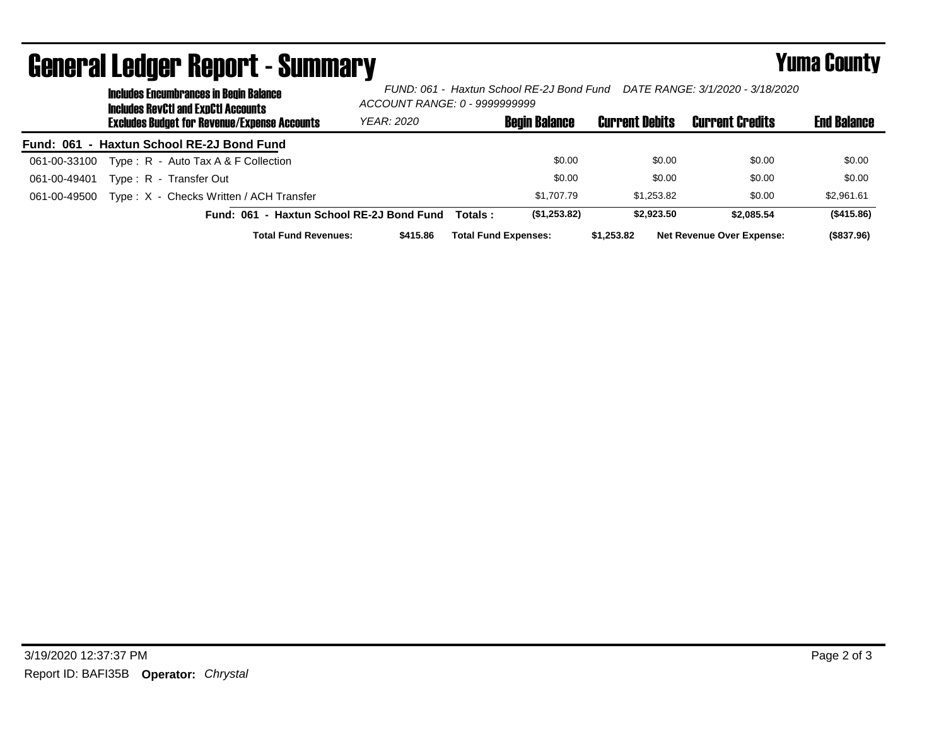|              | <b>Includes Encumbrances in Begin Balance</b><br>Includes RevCtI and ExpCtI Accounts<br><b>Excludes Budget for Revenue/Expense Accounts</b> |                                           | ACCOUNT RANGE: 0 - 9999999999 |          |                             |                       |                                  |                    |  |
|--------------|---------------------------------------------------------------------------------------------------------------------------------------------|-------------------------------------------|-------------------------------|----------|-----------------------------|-----------------------|----------------------------------|--------------------|--|
|              |                                                                                                                                             |                                           | <b>YEAR: 2020</b>             |          | <b>Begin Balance</b>        | <b>Current Debits</b> | <b>Current Credits</b>           | <b>End Balance</b> |  |
|              |                                                                                                                                             | Fund: 061 - Haxtun School RE-2J Bond Fund |                               |          |                             |                       |                                  |                    |  |
| 061-00-33100 |                                                                                                                                             | Type: R - Auto Tax A & F Collection       |                               |          | \$0.00                      | \$0.00                | \$0.00                           | \$0.00             |  |
| 061-00-49401 |                                                                                                                                             | Type: R - Transfer Out                    |                               |          | \$0.00                      | \$0.00                | \$0.00                           | \$0.00             |  |
| 061-00-49500 |                                                                                                                                             | Type: X - Checks Written / ACH Transfer   |                               |          | \$1.707.79                  | \$1.253.82            | \$0.00                           | \$2,961.61         |  |
|              |                                                                                                                                             | Fund: 061 - Haxtun School RE-2J Bond Fund |                               | Totals : | (\$1,253.82)                | \$2,923.50            | \$2,085.54                       | (\$415.86)         |  |
|              |                                                                                                                                             | <b>Total Fund Revenues:</b>               | \$415.86                      |          | <b>Total Fund Expenses:</b> | \$1,253.82            | <b>Net Revenue Over Expense:</b> | (\$837.96)         |  |

## General Ledger Report - Summary **Example 2018** Yuma County